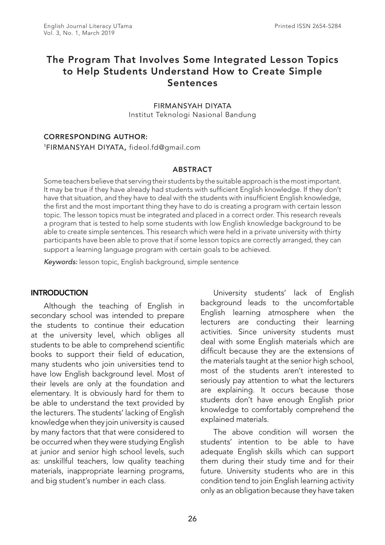# The Program That Involves Some Integrated Lesson Topics to Help Students Understand How to Create Simple Sentences

FIRMANSYAH DIYATA Institut Teknologi Nasional Bandung

#### CORRESPONDING AUTHOR:

1FIRMANSYAH DIYATA, fideol.fd@gmail.com

#### **ABSTRACT**

Some teachers believe that serving their students by the suitable approach is the most important. It may be true if they have already had students with sufficient English knowledge. If they don't have that situation, and they have to deal with the students with insufficient English knowledge, the first and the most important thing they have to do is creating a program with certain lesson topic. The lesson topics must be integrated and placed in a correct order. This research reveals a program that is tested to help some students with low English knowledge background to be able to create simple sentences. This research which were held in a private university with thirty participants have been able to prove that if some lesson topics are correctly arranged, they can support a learning language program with certain goals to be achieved.

*Keywords:* lesson topic, English background, simple sentence

#### **INTRODUCTION**

Although the teaching of English in secondary school was intended to prepare the students to continue their education at the university level, which obliges all students to be able to comprehend scientific books to support their field of education, many students who join universities tend to have low English background level. Most of their levels are only at the foundation and elementary. It is obviously hard for them to be able to understand the text provided by the lecturers. The students' lacking of English knowledge when they join university is caused by many factors that that were considered to be occurred when they were studying English at junior and senior high school levels, such as: unskillful teachers, low quality teaching materials, inappropriate learning programs, and big student's number in each class.

University students' lack of English background leads to the uncomfortable English learning atmosphere when the lecturers are conducting their learning activities. Since university students must deal with some English materials which are difficult because they are the extensions of the materials taught at the senior high school, most of the students aren't interested to seriously pay attention to what the lecturers are explaining. It occurs because those students don't have enough English prior knowledge to comfortably comprehend the explained materials.

The above condition will worsen the students' intention to be able to have adequate English skills which can support them during their study time and for their future. University students who are in this condition tend to join English learning activity only as an obligation because they have taken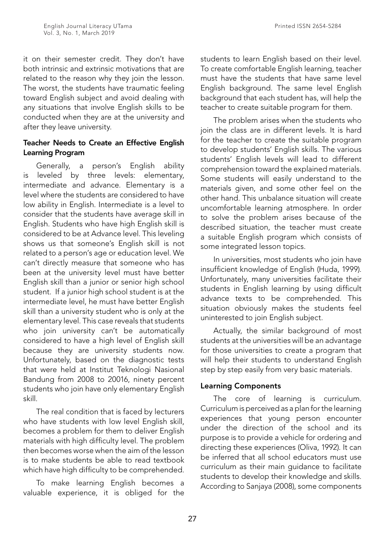it on their semester credit. They don't have both intrinsic and extrinsic motivations that are related to the reason why they join the lesson. The worst, the students have traumatic feeling toward English subject and avoid dealing with any situations that involve English skills to be conducted when they are at the university and after they leave university.

# Teacher Needs to Create an Effective English Learning Program

Generally, a person's English ability is leveled by three levels: elementary, intermediate and advance. Elementary is a level where the students are considered to have low ability in English. Intermediate is a level to consider that the students have average skill in English. Students who have high English skill is considered to be at Advance level. This leveling shows us that someone's English skill is not related to a person's age or education level. We can't directly measure that someone who has been at the university level must have better English skill than a junior or senior high school student. If a junior high school student is at the intermediate level, he must have better English skill than a university student who is only at the elementary level. This case reveals that students who join university can't be automatically considered to have a high level of English skill because they are university students now. Unfortunately, based on the diagnostic tests that were held at Institut Teknologi Nasional Bandung from 2008 to 20016, ninety percent students who join have only elementary English skill.

The real condition that is faced by lecturers who have students with low level English skill, becomes a problem for them to deliver English materials with high difficulty level. The problem then becomes worse when the aim of the lesson is to make students be able to read textbook which have high difficulty to be comprehended.

To make learning English becomes a valuable experience, it is obliged for the

students to learn English based on their level. To create comfortable English learning, teacher must have the students that have same level English background. The same level English background that each student has, will help the teacher to create suitable program for them.

The problem arises when the students who join the class are in different levels. It is hard for the teacher to create the suitable program to develop students' English skills. The various students' English levels will lead to different comprehension toward the explained materials. Some students will easily understand to the materials given, and some other feel on the other hand. This unbalance situation will create uncomfortable learning atmosphere. In order to solve the problem arises because of the described situation, the teacher must create a suitable English program which consists of some integrated lesson topics.

In universities, most students who join have insufficient knowledge of English (Huda, 1999). Unfortunately, many universities facilitate their students in English learning by using difficult advance texts to be comprehended. This situation obviously makes the students feel uninterested to join English subject.

Actually, the similar background of most students at the universities will be an advantage for those universities to create a program that will help their students to understand English step by step easily from very basic materials.

# Learning Components

The core of learning is curriculum. Curriculum is perceived as a plan for the learning experiences that young person encounter under the direction of the school and its purpose is to provide a vehicle for ordering and directing these experiences (Oliva, 1992). It can be inferred that all school educators must use curriculum as their main guidance to facilitate students to develop their knowledge and skills. According to Sanjaya (2008), some components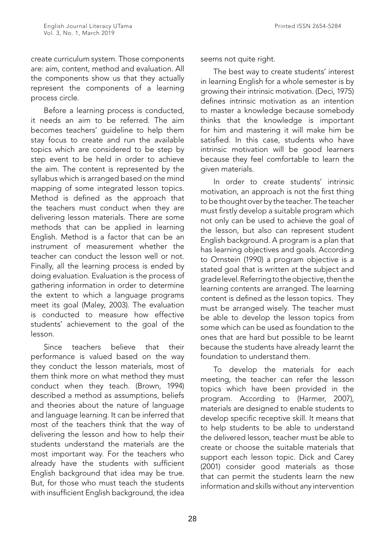create curriculum system. Those components are: aim, content, method and evaluation. All the components show us that they actually represent the components of a learning process circle.

Before a learning process is conducted, it needs an aim to be referred. The aim becomes teachers' guideline to help them stay focus to create and run the available topics which are considered to be step by step event to be held in order to achieve the aim. The content is represented by the syllabus which is arranged based on the mind mapping of some integrated lesson topics. Method is defined as the approach that the teachers must conduct when they are delivering lesson materials. There are some methods that can be applied in learning English. Method is a factor that can be an instrument of measurement whether the teacher can conduct the lesson well or not. Finally, all the learning process is ended by doing evaluation. Evaluation is the process of gathering information in order to determine the extent to which a language programs meet its goal (Maley, 2003). The evaluation is conducted to measure how effective students' achievement to the goal of the lesson.

Since teachers believe that their performance is valued based on the way they conduct the lesson materials, most of them think more on what method they must conduct when they teach. (Brown, 1994) described a method as assumptions, beliefs and theories about the nature of language and language learning. It can be inferred that most of the teachers think that the way of delivering the lesson and how to help their students understand the materials are the most important way. For the teachers who already have the students with sufficient English background that idea may be true. But, for those who must teach the students with insufficient English background, the idea

seems not quite right.

The best way to create students' interest in learning English for a whole semester is by growing their intrinsic motivation. (Deci, 1975) defines intrinsic motivation as an intention to master a knowledge because somebody thinks that the knowledge is important for him and mastering it will make him be satisfied. In this case, students who have intrinsic motivation will be good learners because they feel comfortable to learn the given materials.

In order to create students' intrinsic motivation, an approach is not the first thing to be thought over by the teacher. The teacher must firstly develop a suitable program which not only can be used to achieve the goal of the lesson, but also can represent student English background. A program is a plan that has learning objectives and goals. According to Ornstein (1990) a program objective is a stated goal that is written at the subject and grade level. Referring to the objective, then the learning contents are arranged. The learning content is defined as the lesson topics. They must be arranged wisely. The teacher must be able to develop the lesson topics from some which can be used as foundation to the ones that are hard but possible to be learnt because the students have already learnt the foundation to understand them.

To develop the materials for each meeting, the teacher can refer the lesson topics which have been provided in the program. According to (Harmer, 2007), materials are designed to enable students to develop specific receptive skill. It means that to help students to be able to understand the delivered lesson, teacher must be able to create or choose the suitable materials that support each lesson topic. Dick and Carey (2001) consider good materials as those that can permit the students learn the new information and skills without any intervention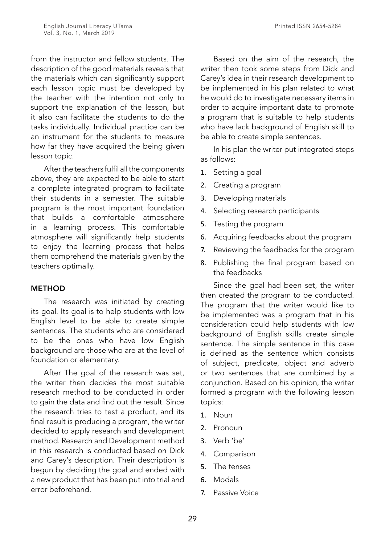from the instructor and fellow students. The description of the good materials reveals that the materials which can significantly support each lesson topic must be developed by the teacher with the intention not only to support the explanation of the lesson, but it also can facilitate the students to do the tasks individually. Individual practice can be an instrument for the students to measure how far they have acquired the being given lesson topic.

After the teachers fulfil all the components above, they are expected to be able to start a complete integrated program to facilitate their students in a semester. The suitable program is the most important foundation that builds a comfortable atmosphere in a learning process. This comfortable atmosphere will significantly help students to enjoy the learning process that helps them comprehend the materials given by the teachers optimally.

#### **METHOD**

The research was initiated by creating its goal. Its goal is to help students with low English level to be able to create simple sentences. The students who are considered to be the ones who have low English background are those who are at the level of foundation or elementary.

After The goal of the research was set, the writer then decides the most suitable research method to be conducted in order to gain the data and find out the result. Since the research tries to test a product, and its final result is producing a program, the writer decided to apply research and development method. Research and Development method in this research is conducted based on Dick and Carey's description. Their description is begun by deciding the goal and ended with a new product that has been put into trial and error beforehand.

Based on the aim of the research, the writer then took some steps from Dick and Carey's idea in their research development to be implemented in his plan related to what he would do to investigate necessary items in order to acquire important data to promote a program that is suitable to help students who have lack background of English skill to be able to create simple sentences.

In his plan the writer put integrated steps as follows:

- 1. Setting a goal
- 2. Creating a program
- 3. Developing materials
- 4. Selecting research participants
- 5. Testing the program
- 6. Acquiring feedbacks about the program
- 7. Reviewing the feedbacks for the program
- 8. Publishing the final program based on the feedbacks

Since the goal had been set, the writer then created the program to be conducted. The program that the writer would like to be implemented was a program that in his consideration could help students with low background of English skills create simple sentence. The simple sentence in this case is defined as the sentence which consists of subject, predicate, object and adverb or two sentences that are combined by a conjunction. Based on his opinion, the writer formed a program with the following lesson topics:

- 1. Noun
- 2. Pronoun
- 3. Verb 'be'
- 4. Comparison
- 5. The tenses
- 6. Modals
- 7. Passive Voice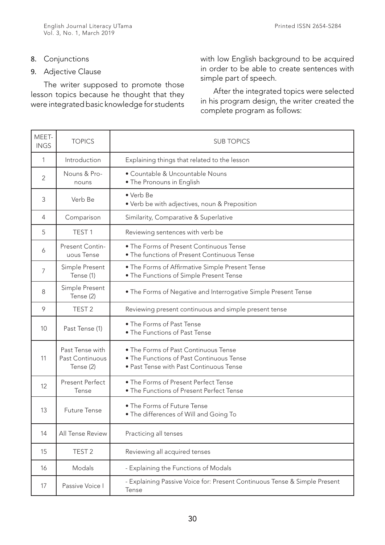## 8. Conjunctions

## 9. Adjective Clause

The writer supposed to promote those lesson topics because he thought that they were integrated basic knowledge for students with low English background to be acquired in order to be able to create sentences with simple part of speech.

After the integrated topics were selected in his program design, the writer created the complete program as follows:

| MEET-<br><b>INGS</b> | <b>TOPICS</b>                                   | <b>SUB TOPICS</b>                                                                                                           |
|----------------------|-------------------------------------------------|-----------------------------------------------------------------------------------------------------------------------------|
| 1                    | Introduction                                    | Explaining things that related to the lesson                                                                                |
| 2                    | Nouns & Pro-<br>nouns                           | • Countable & Uncountable Nouns<br>• The Pronouns in English                                                                |
| 3                    | Verb Be                                         | • Verb Be<br>• Verb be with adjectives, noun & Preposition                                                                  |
| 4                    | Comparison                                      | Similarity, Comparative & Superlative                                                                                       |
| 5                    | TEST <sub>1</sub>                               | Reviewing sentences with verb be                                                                                            |
| 6                    | Present Contin-<br>uous Tense                   | • The Forms of Present Continuous Tense<br>• The functions of Present Continuous Tense                                      |
| 7                    | Simple Present<br>Tense (1)                     | . The Forms of Affirmative Simple Present Tense<br>. The Functions of Simple Present Tense                                  |
| 8                    | Simple Present<br>Tense (2)                     | • The Forms of Negative and Interrogative Simple Present Tense                                                              |
| 9                    | TEST <sub>2</sub>                               | Reviewing present continuous and simple present tense                                                                       |
| 10                   | Past Tense (1)                                  | • The Forms of Past Tense<br>• The Functions of Past Tense                                                                  |
| 11                   | Past Tense with<br>Past Continuous<br>Tense (2) | • The Forms of Past Continuous Tense<br>. The Functions of Past Continuous Tense<br>• Past Tense with Past Continuous Tense |
| 12                   | <b>Present Perfect</b><br>Tense                 | • The Forms of Present Perfect Tense<br>• The Functions of Present Perfect Tense                                            |
| 13                   | <b>Future Tense</b>                             | • The Forms of Future Tense<br>. The differences of Will and Going To                                                       |
| 14                   | All Tense Review                                | Practicing all tenses                                                                                                       |
| 15                   | TEST <sub>2</sub>                               | Reviewing all acquired tenses                                                                                               |
| 16                   | Modals                                          | - Explaining the Functions of Modals                                                                                        |
| 17                   | Passive Voice I                                 | - Explaining Passive Voice for: Present Continuous Tense & Simple Present<br>Tense                                          |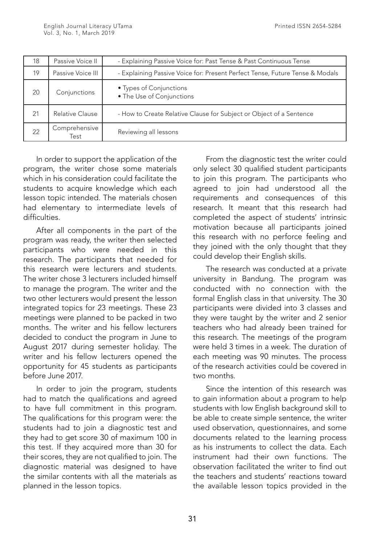| 18 | Passive Voice II       | - Explaining Passive Voice for: Past Tense & Past Continuous Tense           |
|----|------------------------|------------------------------------------------------------------------------|
| 19 | Passive Voice III      | - Explaining Passive Voice for: Present Perfect Tense, Future Tense & Modals |
| 20 | Conjunctions           | • Types of Conjunctions<br>• The Use of Conjunctions                         |
| 21 | <b>Relative Clause</b> | - How to Create Relative Clause for Subject or Object of a Sentence          |
| 22 | Comprehensive<br>Test  | Reviewing all lessons                                                        |

In order to support the application of the program, the writer chose some materials which in his consideration could facilitate the students to acquire knowledge which each lesson topic intended. The materials chosen had elementary to intermediate levels of difficulties.

After all components in the part of the program was ready, the writer then selected participants who were needed in this research. The participants that needed for this research were lecturers and students. The writer chose 3 lecturers included himself to manage the program. The writer and the two other lecturers would present the lesson integrated topics for 23 meetings. These 23 meetings were planned to be packed in two months. The writer and his fellow lecturers decided to conduct the program in June to August 2017 during semester holiday. The writer and his fellow lecturers opened the opportunity for 45 students as participants before June 2017.

In order to join the program, students had to match the qualifications and agreed to have full commitment in this program. The qualifications for this program were: the students had to join a diagnostic test and they had to get score 30 of maximum 100 in this test. If they acquired more than 30 for their scores, they are not qualified to join. The diagnostic material was designed to have the similar contents with all the materials as planned in the lesson topics.

From the diagnostic test the writer could only select 30 qualified student participants to join this program. The participants who agreed to join had understood all the requirements and consequences of this research. It meant that this research had completed the aspect of students' intrinsic motivation because all participants joined this research with no perforce feeling and they joined with the only thought that they could develop their English skills.

The research was conducted at a private university in Bandung. The program was conducted with no connection with the formal English class in that university. The 30 participants were divided into 3 classes and they were taught by the writer and 2 senior teachers who had already been trained for this research. The meetings of the program were held 3 times in a week. The duration of each meeting was 90 minutes. The process of the research activities could be covered in two months.

Since the intention of this research was to gain information about a program to help students with low English background skill to be able to create simple sentence, the writer used observation, questionnaires, and some documents related to the learning process as his instruments to collect the data. Each instrument had their own functions. The observation facilitated the writer to find out the teachers and students' reactions toward the available lesson topics provided in the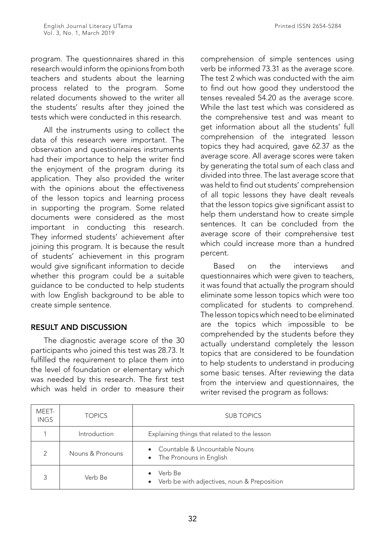program. The questionnaires shared in this research would inform the opinions from both teachers and students about the learning process related to the program. Some related documents showed to the writer all the students' results after they joined the tests which were conducted in this research.

All the instruments using to collect the data of this research were important. The observation and questionnaires instruments had their importance to help the writer find the enjoyment of the program during its application. They also provided the writer with the opinions about the effectiveness of the lesson topics and learning process in supporting the program. Some related documents were considered as the most important in conducting this research. They informed students' achievement after joining this program. It is because the result of students' achievement in this program would give significant information to decide whether this program could be a suitable guidance to be conducted to help students with low English background to be able to create simple sentence.

# RESULT AND DISCUSSION

The diagnostic average score of the 30 participants who joined this test was 28.73. It fulfilled the requirement to place them into the level of foundation or elementary which was needed by this research. The first test which was held in order to measure their

comprehension of simple sentences using verb be informed 73.31 as the average score. The test 2 which was conducted with the aim to find out how good they understood the tenses revealed 54.20 as the average score. While the last test which was considered as the comprehensive test and was meant to get information about all the students' full comprehension of the integrated lesson topics they had acquired, gave 62.37 as the average score. All average scores were taken by generating the total sum of each class and divided into three. The last average score that was held to find out students' comprehension of all topic lessons they have dealt reveals that the lesson topics give significant assist to help them understand how to create simple sentences. It can be concluded from the average score of their comprehensive test which could increase more than a hundred percent.

Based on the interviews and questionnaires which were given to teachers, it was found that actually the program should eliminate some lesson topics which were too complicated for students to comprehend. The lesson topics which need to be eliminated are the topics which impossible to be comprehended by the students before they actually understand completely the lesson topics that are considered to be foundation to help students to understand in producing some basic tenses. After reviewing the data from the interview and questionnaires, the writer revised the program as follows:

| MEET-<br><b>INGS</b> | <b>TOPICS</b>    | <b>SUB TOPICS</b>                                                     |
|----------------------|------------------|-----------------------------------------------------------------------|
|                      | Introduction     | Explaining things that related to the lesson                          |
| $\mathcal{P}$        | Nouns & Pronouns | • Countable & Uncountable Nouns<br>• The Pronouns in English          |
|                      | Verb Be          | Verb Be<br>$\bullet$<br>• Verb be with adjectives, noun & Preposition |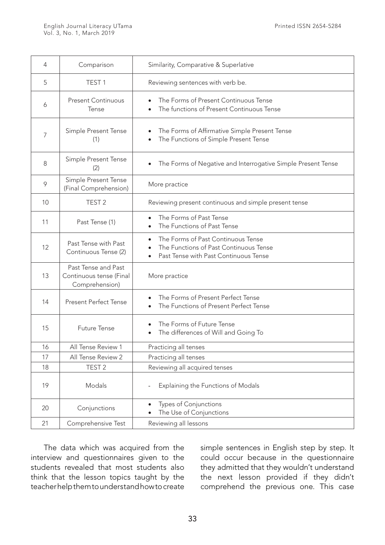| 4             | Comparison                                                       | Similarity, Comparative & Superlative                                                                                              |
|---------------|------------------------------------------------------------------|------------------------------------------------------------------------------------------------------------------------------------|
| 5             | TEST <sub>1</sub>                                                | Reviewing sentences with verb be.                                                                                                  |
| 6             | <b>Present Continuous</b><br>Tense                               | The Forms of Present Continuous Tense<br>The functions of Present Continuous Tense<br>$\bullet$                                    |
| 7             | Simple Present Tense<br>(1)                                      | The Forms of Affirmative Simple Present Tense<br>The Functions of Simple Present Tense                                             |
| 8             | Simple Present Tense<br>(2)                                      | The Forms of Negative and Interrogative Simple Present Tense                                                                       |
| $\mathcal{P}$ | Simple Present Tense<br>(Final Comprehension)                    | More practice                                                                                                                      |
| 10            | TEST <sub>2</sub>                                                | Reviewing present continuous and simple present tense                                                                              |
| 11            | Past Tense (1)                                                   | The Forms of Past Tense<br>The Functions of Past Tense                                                                             |
| 12            | Past Tense with Past<br>Continuous Tense (2)                     | The Forms of Past Continuous Tense<br>$\bullet$<br>The Functions of Past Continuous Tense<br>Past Tense with Past Continuous Tense |
| 13            | Past Tense and Past<br>Continuous tense (Final<br>Comprehension) | More practice                                                                                                                      |
| 14            | <b>Present Perfect Tense</b>                                     | The Forms of Present Perfect Tense<br>$\bullet$<br>The Functions of Present Perfect Tense                                          |
| 15            | <b>Future Tense</b>                                              | The Forms of Future Tense<br>The differences of Will and Going To                                                                  |
| 16            | All Tense Review 1                                               | Practicing all tenses                                                                                                              |
| 17            | All Tense Review 2                                               | Practicing all tenses                                                                                                              |
| 18            | TEST <sub>2</sub>                                                | Reviewing all acquired tenses                                                                                                      |
| 19            | Modals                                                           | Explaining the Functions of Modals                                                                                                 |
| 20            | Conjunctions                                                     | Types of Conjunctions<br>$\bullet$<br>The Use of Conjunctions                                                                      |
| 21            | Comprehensive Test                                               | Reviewing all lessons                                                                                                              |

The data which was acquired from the interview and questionnaires given to the students revealed that most students also think that the lesson topics taught by the teacher help them to understand how to create simple sentences in English step by step. It could occur because in the questionnaire they admitted that they wouldn't understand the next lesson provided if they didn't comprehend the previous one. This case